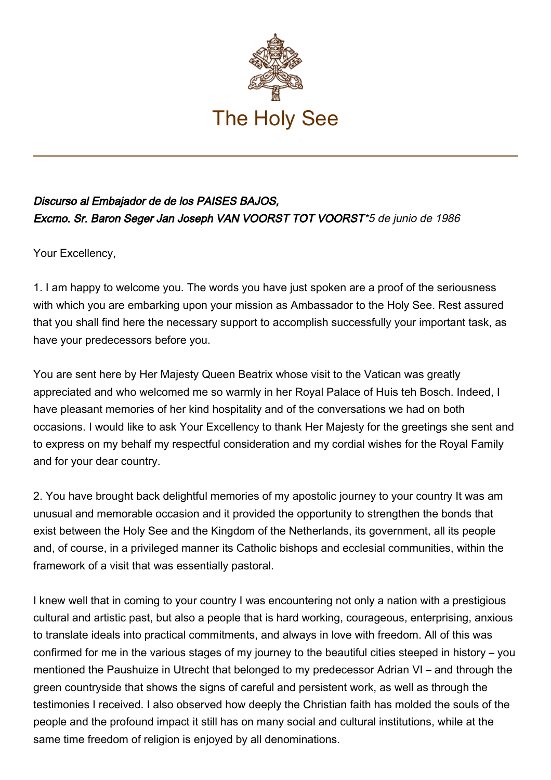

## Discurso al Embajador de de los PAISES BAJOS, Excmo. Sr. Baron Seger Jan Joseph VAN VOORST TOT VOORST\*5 de junio de 1986

Your Excellency,

1. I am happy to welcome you. The words you have just spoken are a proof of the seriousness with which you are embarking upon your mission as Ambassador to the Holy See. Rest assured that you shall find here the necessary support to accomplish successfully your important task, as have your predecessors before you.

You are sent here by Her Majesty Queen Beatrix whose visit to the Vatican was greatly appreciated and who welcomed me so warmly in her Royal Palace of Huis teh Bosch. Indeed, I have pleasant memories of her kind hospitality and of the conversations we had on both occasions. I would like to ask Your Excellency to thank Her Majesty for the greetings she sent and to express on my behalf my respectful consideration and my cordial wishes for the Royal Family and for your dear country.

2. You have brought back delightful memories of my apostolic journey to your country It was am unusual and memorable occasion and it provided the opportunity to strengthen the bonds that exist between the Holy See and the Kingdom of the Netherlands, its government, all its people and, of course, in a privileged manner its Catholic bishops and ecclesial communities, within the framework of a visit that was essentially pastoral.

I knew well that in coming to your country I was encountering not only a nation with a prestigious cultural and artistic past, but also a people that is hard working, courageous, enterprising, anxious to translate ideals into practical commitments, and always in love with freedom. All of this was confirmed for me in the various stages of my journey to the beautiful cities steeped in history – you mentioned the Paushuize in Utrecht that belonged to my predecessor Adrian VI – and through the green countryside that shows the signs of careful and persistent work, as well as through the testimonies I received. I also observed how deeply the Christian faith has molded the souls of the people and the profound impact it still has on many social and cultural institutions, while at the same time freedom of religion is enjoyed by all denominations.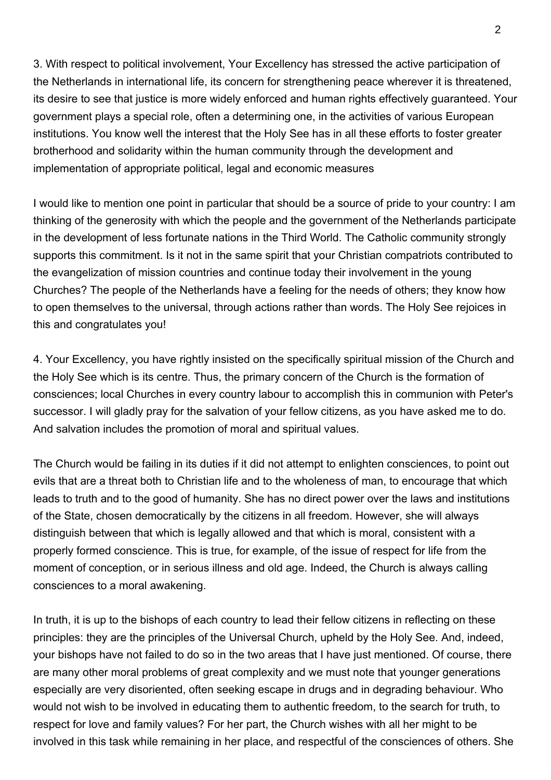3. With respect to political involvement, Your Excellency has stressed the active participation of the Netherlands in international life, its concern for strengthening peace wherever it is threatened, its desire to see that justice is more widely enforced and human rights effectively guaranteed. Your government plays a special role, often a determining one, in the activities of various European institutions. You know well the interest that the Holy See has in all these efforts to foster greater brotherhood and solidarity within the human community through the development and implementation of appropriate political, legal and economic measures

I would like to mention one point in particular that should be a source of pride to your country: I am thinking of the generosity with which the people and the government of the Netherlands participate in the development of less fortunate nations in the Third World. The Catholic community strongly supports this commitment. Is it not in the same spirit that your Christian compatriots contributed to the evangelization of mission countries and continue today their involvement in the young Churches? The people of the Netherlands have a feeling for the needs of others; they know how to open themselves to the universal, through actions rather than words. The Holy See rejoices in this and congratulates you!

4. Your Excellency, you have rightly insisted on the specifically spiritual mission of the Church and the Holy See which is its centre. Thus, the primary concern of the Church is the formation of consciences; local Churches in every country labour to accomplish this in communion with Peter's successor. I will gladly pray for the salvation of your fellow citizens, as you have asked me to do. And salvation includes the promotion of moral and spiritual values.

The Church would be failing in its duties if it did not attempt to enlighten consciences, to point out evils that are a threat both to Christian life and to the wholeness of man, to encourage that which leads to truth and to the good of humanity. She has no direct power over the laws and institutions of the State, chosen democratically by the citizens in all freedom. However, she will always distinguish between that which is legally allowed and that which is moral, consistent with a properly formed conscience. This is true, for example, of the issue of respect for life from the moment of conception, or in serious illness and old age. Indeed, the Church is always calling consciences to a moral awakening.

In truth, it is up to the bishops of each country to lead their fellow citizens in reflecting on these principles: they are the principles of the Universal Church, upheld by the Holy See. And, indeed, your bishops have not failed to do so in the two areas that I have just mentioned. Of course, there are many other moral problems of great complexity and we must note that younger generations especially are very disoriented, often seeking escape in drugs and in degrading behaviour. Who would not wish to be involved in educating them to authentic freedom, to the search for truth, to respect for love and family values? For her part, the Church wishes with all her might to be involved in this task while remaining in her place, and respectful of the consciences of others. She